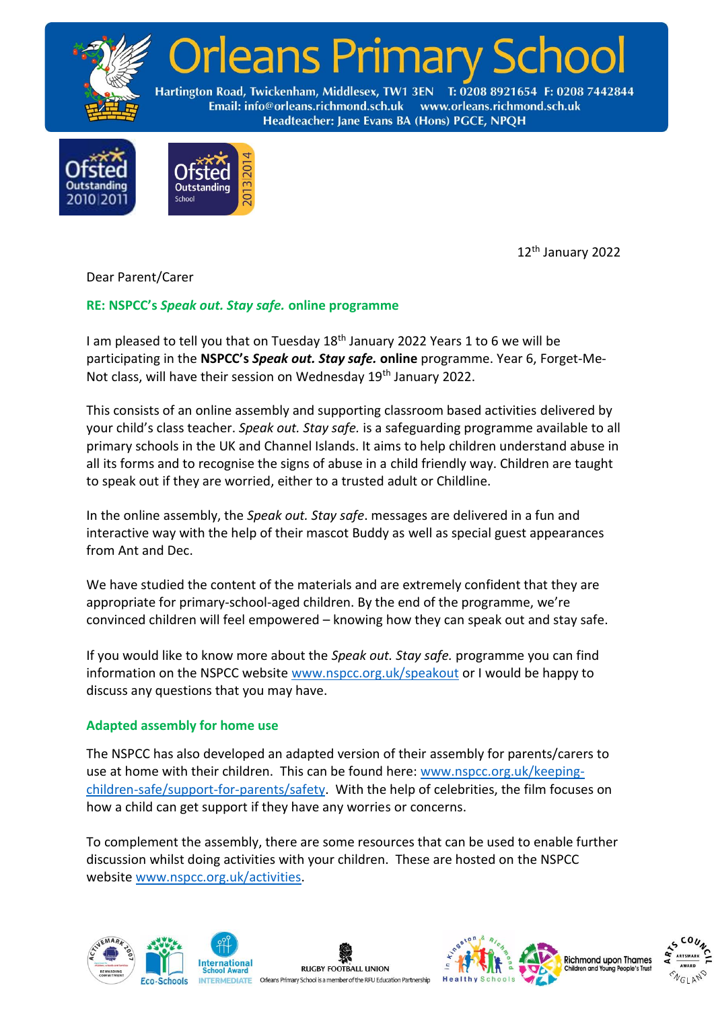

leans Primary

Hartington Road, Twickenham, Middlesex, TW1 3EN T: 0208 8921654 F: 0208 7442844 www.orleans.richmond.sch.uk Email: info@orleans.richmond.sch.uk Headteacher: Jane Evans BA (Hons) PGCE, NPQH



12 th January 2022

Dear Parent/Carer

# **RE: NSPCC's** *Speak out. Stay safe.* **online programme**

I am pleased to tell you that on Tuesday 18<sup>th</sup> January 2022 Years 1 to 6 we will be participating in the **NSPCC's** *Speak out. Stay safe.* **online** programme. Year 6, Forget-Me-Not class, will have their session on Wednesday 19<sup>th</sup> January 2022.

This consists of an online assembly and supporting classroom based activities delivered by your child's class teacher. *Speak out. Stay safe.* is a safeguarding programme available to all primary schools in the UK and Channel Islands. It aims to help children understand abuse in all its forms and to recognise the signs of abuse in a child friendly way. Children are taught to speak out if they are worried, either to a trusted adult or Childline.

In the online assembly, the *Speak out. Stay safe*. messages are delivered in a fun and interactive way with the help of their mascot Buddy as well as special guest appearances from Ant and Dec.

We have studied the content of the materials and are extremely confident that they are appropriate for primary-school-aged children. By the end of the programme, we're convinced children will feel empowered – knowing how they can speak out and stay safe.

If you would like to know more about the *Speak out. Stay safe.* programme you can find information on the NSPCC website [www.nspcc.org.uk/speakout](http://www.nspcc.org.uk/speakout) or I would be happy to discuss any questions that you may have.

#### **Adapted assembly for home use**

The NSPCC has also developed an adapted version of their assembly for parents/carers to use at home with their children.This can be found here: [www.nspcc.org.uk/keeping](http://www.nspcc.org.uk/keeping-children-safe/support-for-parents/safety)[children-safe/support-for-parents/safety.](http://www.nspcc.org.uk/keeping-children-safe/support-for-parents/safety) With the help of celebrities, the film focuses on how a child can get support if they have any worries or concerns.

To complement the assembly, there are some resources that can be used to enable further discussion whilst doing activities with your children. These are hosted on the NSPCC website [www.nspcc.org.uk/activities.](http://www.nspcc.org.uk/activities)



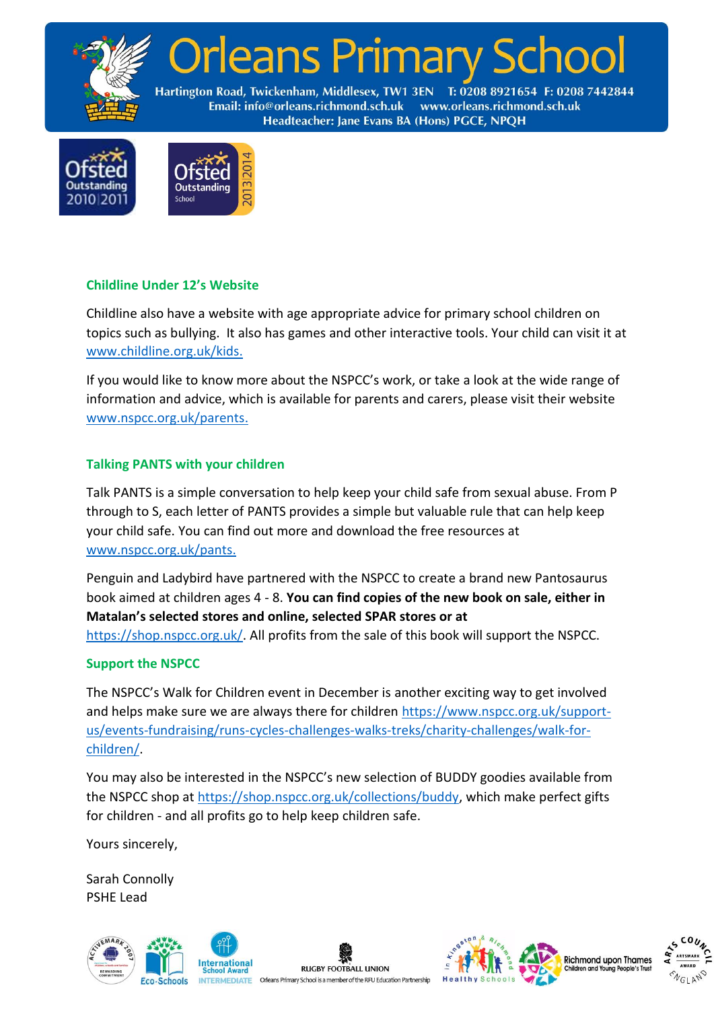

Orleans Primary So

Hartington Road, Twickenham, Middlesex, TW1 3EN T: 0208 8921654 F: 0208 7442844 Email: info@orleans.richmond.sch.uk www.orleans.richmond.sch.uk Headteacher: Jane Evans BA (Hons) PGCE, NPQH



### **Childline Under 12's Website**

Childline also have a website with age appropriate advice for primary school children on topics such as bullying. It also has games and other interactive tools. Your child can visit it at [www.childline.org.uk/kids.](http://www.childline.org.uk/kids)

If you would like to know more about the NSPCC's work, or take a look at the wide range of information and advice, which is available for parents and carers, please visit their website [www.nspcc.org.uk/parents.](http://www.nspcc.org.uk/parents)

### **Talking PANTS with your children**

Talk PANTS is a simple conversation to help keep your child safe from sexual abuse. From P through to S, each letter of PANTS provides a simple but valuable rule that can help keep your child safe. You can find out more and download the free resources at [www.nspcc.org.uk/pants.](http://www.nspcc.org.uk/pants)

Penguin and Ladybird have partnered with the NSPCC to create a brand new Pantosaurus book aimed at children ages 4 - 8. **You can find copies of the new book on sale, either in Matalan's selected stores and online, selected SPAR stores or at**  [https://shop.nspcc.org.uk/.](https://shop.nspcc.org.uk/) All profits from the sale of this book will support the NSPCC.

# **Support the NSPCC**

The NSPCC's Walk for Children event in December is another exciting way to get involved and helps make sure we are always there for children [https://www.nspcc.org.uk/support](https://www.nspcc.org.uk/support-us/events-fundraising/runs-cycles-challenges-walks-treks/charity-challenges/walk-for-children/)[us/events-fundraising/runs-cycles-challenges-walks-treks/charity-challenges/walk-for](https://www.nspcc.org.uk/support-us/events-fundraising/runs-cycles-challenges-walks-treks/charity-challenges/walk-for-children/)[children/.](https://www.nspcc.org.uk/support-us/events-fundraising/runs-cycles-challenges-walks-treks/charity-challenges/walk-for-children/)

You may also be interested in the NSPCC's new selection of BUDDY goodies available from the NSPCC shop at [https://shop.nspcc.org.uk/collections/buddy,](https://shop.nspcc.org.uk/collections/buddy) which make perfect gifts for children - and all profits go to help keep children safe.

Yours sincerely,

Sarah Connolly PSHE Lead